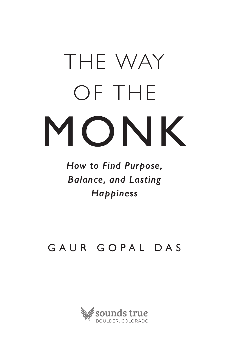# THE WAY OF THE MONK

*How to Find Purpose, Balance, and Lasting Happiness*

### GAUR GOPAL DAS

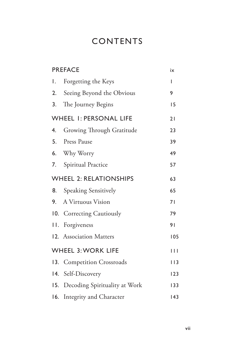#### **CONTENTS**

| <b>PREFACE</b>                |                                   | ix     |
|-------------------------------|-----------------------------------|--------|
| ١.                            | Forgetting the Keys               | T      |
| 2.                            | Seeing Beyond the Obvious         | 9      |
| 3.                            | The Journey Begins                | 15     |
| <b>WHEEL I: PERSONAL LIFE</b> |                                   | 21     |
| 4.                            | Growing Through Gratitude         | 23     |
|                               | 5. Press Pause                    | 39     |
|                               | 6. Why Worry                      | 49     |
| 7.                            | Spiritual Practice                | 57     |
| <b>WHEEL 2: RELATIONSHIPS</b> |                                   | 63     |
| 8.                            | Speaking Sensitively              | 65     |
| 9.                            | A Virtuous Vision                 | 71     |
|                               | 10. Correcting Cautiously         | 79     |
| П.                            | Forgiveness                       | 91     |
|                               | 12. Association Matters           | 105    |
| <b>WHEEL 3: WORK LIFE</b>     |                                   | $\Box$ |
|                               | 13. Competition Crossroads        | 113    |
|                               | 14. Self-Discovery                | 123    |
|                               | 15. Decoding Spirituality at Work | 133    |
|                               | 16. Integrity and Character       | 43     |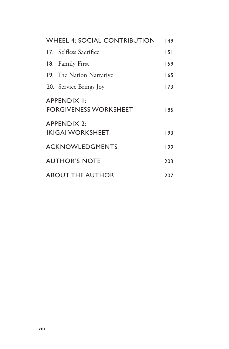| <b>WHEEL 4: SOCIAL CONTRIBUTION</b>           |     |  |
|-----------------------------------------------|-----|--|
| 17. Selfless Sacrifice                        | 151 |  |
| 18. Family First                              | 159 |  |
| 19. The Nation Narrative                      | 165 |  |
| 20. Service Brings Joy                        | 173 |  |
| APPENDIX 1:<br><b>FORGIVENESS WORKSHEET</b>   |     |  |
| <b>APPENDIX 2:</b><br><b>IKIGAI WORKSHEET</b> |     |  |
| <b>ACKNOWLEDGMENTS</b>                        |     |  |
| <b>AUTHOR'S NOTE</b>                          |     |  |
| <b>ABOUT THE AUTHOR</b>                       |     |  |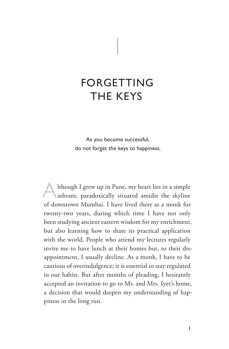#### FORGETTING THE KEYS

1

As you become successful, do not forget the keys to happiness.

Although I grew up in Pune, my heart lies in a simple ashram, paradoxically situated amidst the skyline of downtown Mumbai. I have lived there as a monk for twenty-two years, during which time I have not only been studying ancient eastern wisdom for my enrichment, but also learning how to share its practical application with the world. People who attend my lectures regularly invite me to have lunch at their homes but, to their disappointment, I usually decline. As a monk, I have to be cautious of overindulgence; it is essential to stay regulated in our habits. But after months of pleading, I hesitantly accepted an invitation to go to Mr. and Mrs. Iyer's home, a decision that would deepen my understanding of happiness in the long run.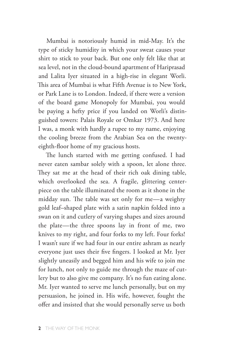Mumbai is notoriously humid in mid-May. It's the type of sticky humidity in which your sweat causes your shirt to stick to your back. But one only felt like that at sea level, not in the cloud-bound apartment of Hariprasad and Lalita Iyer situated in a high-rise in elegant Worli. This area of Mumbai is what Fifth Avenue is to New York, or Park Lane is to London. Indeed, if there were a version of the board game Monopoly for Mumbai, you would be paying a hefty price if you landed on Worli's distinguished towers: Palais Royale or Omkar 1973. And here I was, a monk with hardly a rupee to my name, enjoying the cooling breeze from the Arabian Sea on the twentyeighth-foor home of my gracious hosts.

The lunch started with me getting confused. I had never eaten sambar solely with a spoon, let alone three. They sat me at the head of their rich oak dining table, which overlooked the sea. A fragile, glittering centerpiece on the table illuminated the room as it shone in the midday sun. The table was set only for me—a weighty gold leaf–shaped plate with a satin napkin folded into a swan on it and cutlery of varying shapes and sizes around the plate—the three spoons lay in front of me, two knives to my right, and four forks to my left. Four forks! I wasn't sure if we had four in our entire ashram as nearly everyone just uses their fve fngers. I looked at Mr. Iyer slightly uneasily and begged him and his wife to join me for lunch, not only to guide me through the maze of cutlery but to also give me company. It's no fun eating alone. Mr. Iyer wanted to serve me lunch personally, but on my persuasion, he joined in. His wife, however, fought the ofer and insisted that she would personally serve us both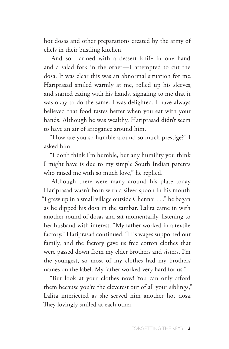hot dosas and other preparations created by the army of chefs in their bustling kitchen.

And so—armed with a dessert knife in one hand and a salad fork in the other—I attempted to cut the dosa. It was clear this was an abnormal situation for me. Hariprasad smiled warmly at me, rolled up his sleeves, and started eating with his hands, signaling to me that it was okay to do the same. I was delighted. I have always believed that food tastes better when you eat with your hands. Although he was wealthy, Hariprasad didn't seem to have an air of arrogance around him.

"How are you so humble around so much prestige?" I asked him.

"I don't think I'm humble, but any humility you think I might have is due to my simple South Indian parents who raised me with so much love," he replied.

Although there were many around his plate today, Hariprasad wasn't born with a silver spoon in his mouth. "I grew up in a small village outside Chennai . . ." he began as he dipped his dosa in the sambar. Lalita came in with another round of dosas and sat momentarily, listening to her husband with interest. "My father worked in a textile factory," Hariprasad continued. "His wages supported our family, and the factory gave us free cotton clothes that were passed down from my elder brothers and sisters. I'm the youngest, so most of my clothes had my brothers' names on the label. My father worked very hard for us."

"But look at your clothes now! You can only aford them because you're the cleverest out of all your siblings," Lalita interjected as she served him another hot dosa. They lovingly smiled at each other.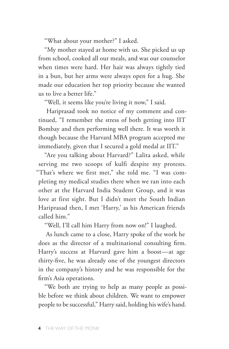"What about your mother?" I asked.

"My mother stayed at home with us. She picked us up from school, cooked all our meals, and was our counselor when times were hard. Her hair was always tightly tied in a bun, but her arms were always open for a hug. She made our education her top priority because she wanted us to live a better life."

"Well, it seems like you're living it now," I said.

Hariprasad took no notice of my comment and continued, "I remember the stress of both getting into IIT Bombay and then performing well there. It was worth it though because the Harvard MBA program accepted me immediately, given that I secured a gold medal at IIT."

"Are you talking about Harvard?" Lalita asked, while serving me two scoops of kulfi despite my protests. "That's where we first met," she told me. "I was completing my medical studies there when we ran into each other at the Harvard India Student Group, and it was love at first sight. But I didn't meet the South Indian Hariprasad then, I met 'Harry,' as his American friends called him."

"Well, I'll call him Harry from now on!" I laughed.

As lunch came to a close, Harry spoke of the work he does as the director of a multinational consulting frm. Harry's success at Harvard gave him a boost—at age thirty-fve, he was already one of the youngest directors in the company's history and he was responsible for the frm's Asia operations.

"We both are trying to help as many people as possible before we think about children. We want to empower people to be successful," Harry said, holding his wife's hand.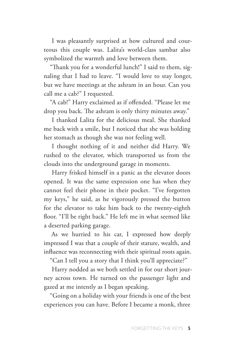I was pleasantly surprised at how cultured and courteous this couple was. Lalita's world-class sambar also symbolized the warmth and love between them.

"Thank you for a wonderful lunch!" I said to them, signaling that I had to leave. "I would love to stay longer, but we have meetings at the ashram in an hour. Can you call me a cab?" I requested.

"A cab!" Harry exclaimed as if ofended. "Please let me drop you back. The ashram is only thirty minutes away."

I thanked Lalita for the delicious meal. She thanked me back with a smile, but I noticed that she was holding her stomach as though she was not feeling well.

I thought nothing of it and neither did Harry. We rushed to the elevator, which transported us from the clouds into the underground garage in moments.

Harry frisked himself in a panic as the elevator doors opened. It was the same expression one has when they cannot feel their phone in their pocket. "I've forgotten my keys," he said, as he vigorously pressed the button for the elevator to take him back to the twenty-eighth foor. "I'll be right back." He left me in what seemed like a deserted parking garage.

As we hurried to his car, I expressed how deeply impressed I was that a couple of their stature, wealth, and infuence was reconnecting with their spiritual roots again.

"Can I tell you a story that I think you'll appreciate?"

Harry nodded as we both settled in for our short journey across town. He turned on the passenger light and gazed at me intently as I began speaking.

"Going on a holiday with your friends is one of the best experiences you can have. Before I became a monk, three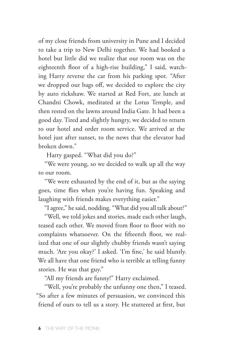of my close friends from university in Pune and I decided to take a trip to New Delhi together. We had booked a hotel but little did we realize that our room was on the eighteenth foor of a high-rise building," I said, watching Harry reverse the car from his parking spot. "After we dropped our bags of, we decided to explore the city by auto rickshaw. We started at Red Fort, ate lunch at Chandni Chowk, meditated at the Lotus Temple, and then rested on the lawns around India Gate. It had been a good day. Tired and slightly hungry, we decided to return to our hotel and order room service. We arrived at the hotel just after sunset, to the news that the elevator had broken down."

Harry gasped. "What did you do?"

"We were young, so we decided to walk up all the way to our room.

"We were exhausted by the end of it, but as the saying goes, time fies when you're having fun. Speaking and laughing with friends makes everything easier."

"I agree," he said, nodding. "What did you all talk about?" "Well, we told jokes and stories, made each other laugh, teased each other. We moved from floor to floor with no complaints whatsoever. On the fifteenth floor, we realized that one of our slightly chubby friends wasn't saying much. 'Are you okay?' I asked. 'I'm fne,' he said bluntly. We all have that one friend who is terrible at telling funny stories. He was that guy."

"All my friends are funny!" Harry exclaimed.

"Well, you're probably the unfunny one then," I teased. "So after a few minutes of persuasion, we convinced this friend of ours to tell us a story. He stuttered at frst, but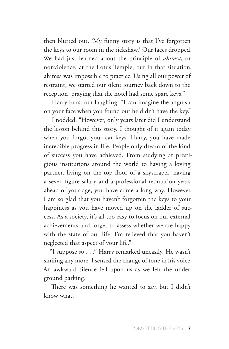then blurted out, 'My funny story is that I've forgotten the keys to our room in the rickshaw.' Our faces dropped. We had just learned about the principle of *ahimsa*, or nonviolence, at the Lotus Temple, but in that situation, ahimsa was impossible to practice! Using all our power of restraint, we started our silent journey back down to the reception, praying that the hotel had some spare keys."

Harry burst out laughing. "I can imagine the anguish on your face when you found out he didn't have the key."

I nodded. "However, only years later did I understand the lesson behind this story. I thought of it again today when you forgot your car keys. Harry, you have made incredible progress in life. People only dream of the kind of success you have achieved. From studying at prestigious institutions around the world to having a loving partner, living on the top floor of a skyscraper, having a seven-fgure salary and a professional reputation years ahead of your age, you have come a long way. However, I am so glad that you haven't forgotten the keys to your happiness as you have moved up on the ladder of success. As a society, it's all too easy to focus on our external achievements and forget to assess whether we are happy with the state of our life. I'm relieved that you haven't neglected that aspect of your life."

"I suppose so . . ." Harry remarked uneasily. He wasn't smiling any more. I sensed the change of tone in his voice. An awkward silence fell upon us as we left the underground parking.

There was something he wanted to say, but I didn't know what.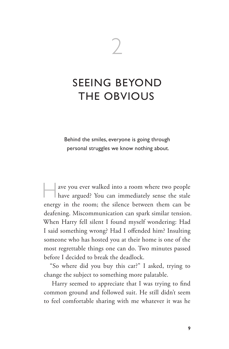## 2

#### SEEING BEYOND THE OBVIOUS

Behind the smiles, everyone is going through personal struggles we know nothing about.

ave you ever walked into a room where two people have argued? You can immediately sense the stale energy in the room; the silence between them can be deafening. Miscommunication can spark similar tension. When Harry fell silent I found myself wondering: Had I said something wrong? Had I ofended him? Insulting someone who has hosted you at their home is one of the most regrettable things one can do. Two minutes passed before I decided to break the deadlock.

"So where did you buy this car?" I asked, trying to change the subject to something more palatable.

Harry seemed to appreciate that I was trying to fnd common ground and followed suit. He still didn't seem to feel comfortable sharing with me whatever it was he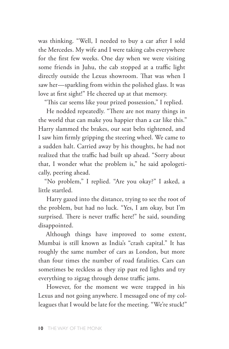was thinking. "Well, I needed to buy a car after I sold the Mercedes. My wife and I were taking cabs everywhere for the frst few weeks. One day when we were visiting some friends in Juhu, the cab stopped at a traffic light directly outside the Lexus showroom. That was when I saw her—sparkling from within the polished glass. It was love at frst sight!" He cheered up at that memory.

"This car seems like your prized possession," I replied.

He nodded repeatedly. "There are not many things in the world that can make you happier than a car like this." Harry slammed the brakes, our seat belts tightened, and I saw him frmly gripping the steering wheel. We came to a sudden halt. Carried away by his thoughts, he had not realized that the traffic had built up ahead. "Sorry about that, I wonder what the problem is," he said apologetically, peering ahead.

"No problem," I replied. "Are you okay?" I asked, a little startled.

Harry gazed into the distance, trying to see the root of the problem, but had no luck. "Yes, I am okay, but I'm surprised. There is never traffic here!" he said, sounding disappointed.

Although things have improved to some extent, Mumbai is still known as India's "crash capital." It has roughly the same number of cars as London, but more than four times the number of road fatalities. Cars can sometimes be reckless as they zip past red lights and try everything to zigzag through dense traffic jams.

However, for the moment we were trapped in his Lexus and not going anywhere. I messaged one of my colleagues that I would be late for the meeting. "We're stuck!"